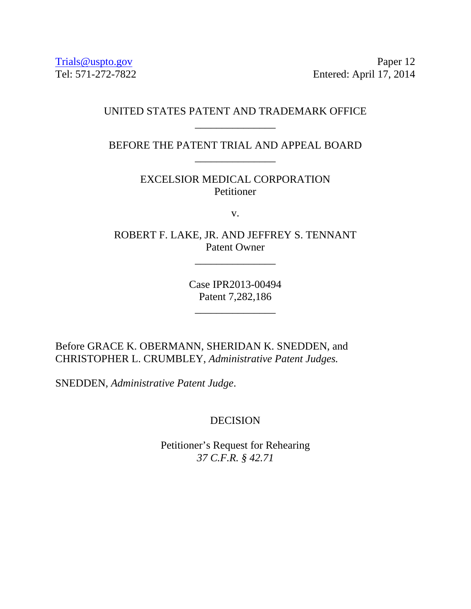Trials@uspto.gov Paper 12 Tel: 571-272-7822 Entered: April 17, 2014

## UNITED STATES PATENT AND TRADEMARK OFFICE \_\_\_\_\_\_\_\_\_\_\_\_\_\_\_

BEFORE THE PATENT TRIAL AND APPEAL BOARD \_\_\_\_\_\_\_\_\_\_\_\_\_\_\_

> EXCELSIOR MEDICAL CORPORATION Petitioner

> > v.

ROBERT F. LAKE, JR. AND JEFFREY S. TENNANT Patent Owner

\_\_\_\_\_\_\_\_\_\_\_\_\_\_\_

Case IPR2013-00494 Patent 7,282,186

\_\_\_\_\_\_\_\_\_\_\_\_\_\_\_

Before GRACE K. OBERMANN, SHERIDAN K. SNEDDEN, and CHRISTOPHER L. CRUMBLEY, *Administrative Patent Judges.* 

SNEDDEN, *Administrative Patent Judge*.

## DECISION

Petitioner's Request for Rehearing *37 C.F.R. § 42.71*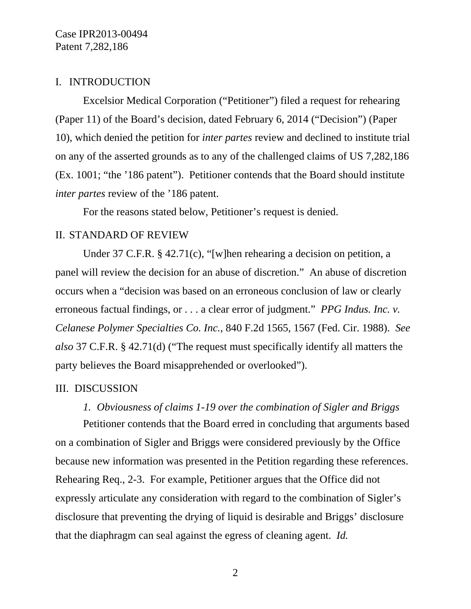Case IPR2013-00494 Patent 7,282,186

## I. INTRODUCTION

Excelsior Medical Corporation ("Petitioner") filed a request for rehearing (Paper 11) of the Board's decision, dated February 6, 2014 ("Decision") (Paper 10), which denied the petition for *inter partes* review and declined to institute trial on any of the asserted grounds as to any of the challenged claims of US 7,282,186 (Ex. 1001; "the '186 patent"). Petitioner contends that the Board should institute *inter partes* review of the '186 patent.

For the reasons stated below, Petitioner's request is denied.

#### II. STANDARD OF REVIEW

Under 37 C.F.R. § 42.71(c), "[w]hen rehearing a decision on petition, a panel will review the decision for an abuse of discretion." An abuse of discretion occurs when a "decision was based on an erroneous conclusion of law or clearly erroneous factual findings, or . . . a clear error of judgment." *PPG Indus. Inc. v. Celanese Polymer Specialties Co. Inc.*, 840 F.2d 1565, 1567 (Fed. Cir. 1988). *See also* 37 C.F.R. § 42.71(d) ("The request must specifically identify all matters the party believes the Board misapprehended or overlooked").

#### III. DISCUSSION

## *1. Obviousness of claims 1-19 over the combination of Sigler and Briggs*

Petitioner contends that the Board erred in concluding that arguments based on a combination of Sigler and Briggs were considered previously by the Office because new information was presented in the Petition regarding these references. Rehearing Req., 2-3. For example, Petitioner argues that the Office did not expressly articulate any consideration with regard to the combination of Sigler's disclosure that preventing the drying of liquid is desirable and Briggs' disclosure that the diaphragm can seal against the egress of cleaning agent. *Id.* 

2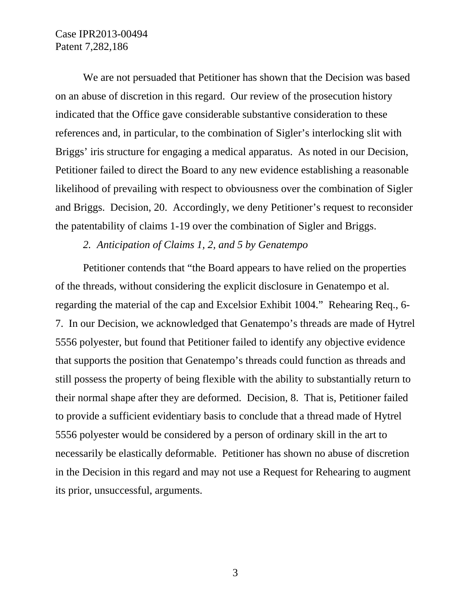## Case IPR2013-00494 Patent 7,282,186

We are not persuaded that Petitioner has shown that the Decision was based on an abuse of discretion in this regard. Our review of the prosecution history indicated that the Office gave considerable substantive consideration to these references and, in particular, to the combination of Sigler's interlocking slit with Briggs' iris structure for engaging a medical apparatus. As noted in our Decision, Petitioner failed to direct the Board to any new evidence establishing a reasonable likelihood of prevailing with respect to obviousness over the combination of Sigler and Briggs. Decision, 20. Accordingly, we deny Petitioner's request to reconsider the patentability of claims 1-19 over the combination of Sigler and Briggs.

*2. Anticipation of Claims 1, 2, and 5 by Genatempo* 

Petitioner contends that "the Board appears to have relied on the properties of the threads, without considering the explicit disclosure in Genatempo et al. regarding the material of the cap and Excelsior Exhibit 1004." Rehearing Req., 6- 7. In our Decision, we acknowledged that Genatempo's threads are made of Hytrel 5556 polyester, but found that Petitioner failed to identify any objective evidence that supports the position that Genatempo's threads could function as threads and still possess the property of being flexible with the ability to substantially return to their normal shape after they are deformed. Decision, 8. That is, Petitioner failed to provide a sufficient evidentiary basis to conclude that a thread made of Hytrel 5556 polyester would be considered by a person of ordinary skill in the art to necessarily be elastically deformable. Petitioner has shown no abuse of discretion in the Decision in this regard and may not use a Request for Rehearing to augment its prior, unsuccessful, arguments.

3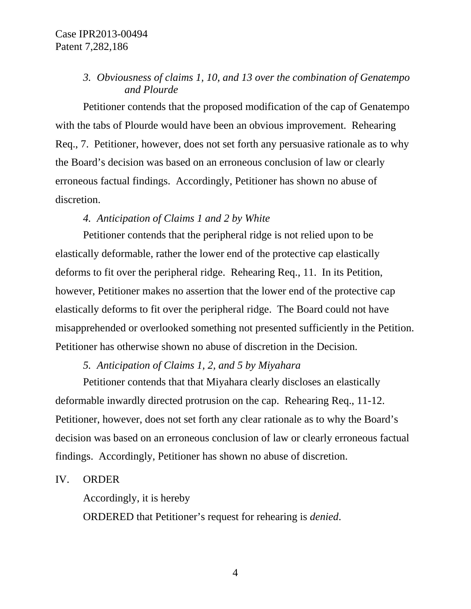## *3. Obviousness of claims 1, 10, and 13 over the combination of Genatempo and Plourde*

Petitioner contends that the proposed modification of the cap of Genatempo with the tabs of Plourde would have been an obvious improvement. Rehearing Req., 7. Petitioner, however, does not set forth any persuasive rationale as to why the Board's decision was based on an erroneous conclusion of law or clearly erroneous factual findings. Accordingly, Petitioner has shown no abuse of discretion.

## *4. Anticipation of Claims 1 and 2 by White*

Petitioner contends that the peripheral ridge is not relied upon to be elastically deformable, rather the lower end of the protective cap elastically deforms to fit over the peripheral ridge. Rehearing Req., 11. In its Petition, however, Petitioner makes no assertion that the lower end of the protective cap elastically deforms to fit over the peripheral ridge. The Board could not have misapprehended or overlooked something not presented sufficiently in the Petition. Petitioner has otherwise shown no abuse of discretion in the Decision.

## *5. Anticipation of Claims 1, 2, and 5 by Miyahara*

Petitioner contends that that Miyahara clearly discloses an elastically deformable inwardly directed protrusion on the cap. Rehearing Req., 11-12. Petitioner, however, does not set forth any clear rationale as to why the Board's decision was based on an erroneous conclusion of law or clearly erroneous factual findings. Accordingly, Petitioner has shown no abuse of discretion.

#### IV. ORDER

Accordingly, it is hereby

ORDERED that Petitioner's request for rehearing is *denied*.